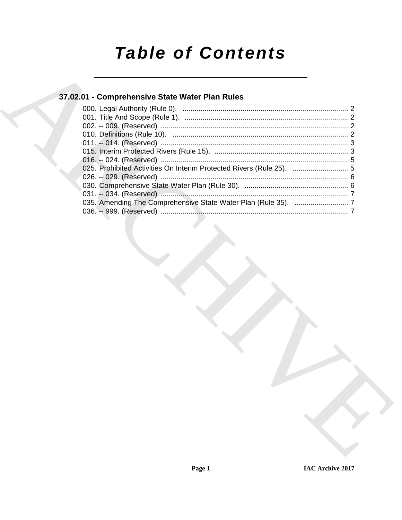# **Table of Contents**

### 37.02.01 - Comprehensive State Water Plan Rules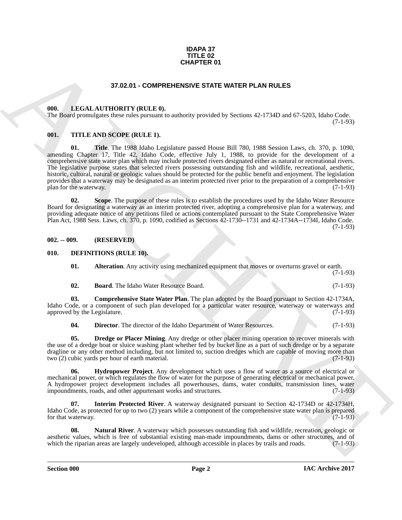#### **IDAPA 37 TITLE 02 CHAPTER 01**

#### **37.02.01 - COMPREHENSIVE STATE WATER PLAN RULES**

#### <span id="page-1-1"></span><span id="page-1-0"></span>**000. LEGAL AUTHORITY (RULE 0).**

The Board promulgates these rules pursuant to authority provided by Sections 42-1734D and 67-5203, Idaho Code. (7-1-93)

#### <span id="page-1-2"></span>**001. TITLE AND SCOPE (RULE 1).**

**37.02.01 COMPRETENTS OF SAMPLER OF A SURFACE AND MULTISTED (III)**<br> **ARCHIVE CONTINUOS CONFIDENTS** (THE ARCHIVE CONTINUOS TRANSPORT CONFIDENTS) AND CONFIDENTS (THE ARCHIVE CONFIDENTS) AND CONFIDENTS (THE ARCHIVE CONFIDE **01. Title**. The 1988 Idaho Legislature passed House Bill 780, 1988 Session Laws, ch. 370, p. 1090, amending Chapter 17, Title 42, Idaho Code, effective July 1, 1988, to provide for the development of a comprehensive state water plan which may include protected rivers designated either as natural or recreational rivers. The legislative purpose states that selected rivers possessing outstanding fish and wildlife, recreational, aesthetic, historic, cultural, natural or geologic values should be protected for the public benefit and enjoyment. The legislation provides that a waterway may be designated as an interim protected river prior to the preparation of a comprehensive<br>(7-1-93) plan for the waterway.

**02. Scope**. The purpose of these rules is to establish the procedures used by the Idaho Water Resource Board for designating a waterway as an interim protected river, adopting a comprehensive plan for a waterway, and providing adequate notice of any petitions filed or actions contemplated pursuant to the State Comprehensive Water Plan Act, 1988 Sess. Laws, ch. 370, p. 1090, codified as Sections 42-1730--1731 and 42-1734A--1734I, Idaho Code. (7-1-93)

#### <span id="page-1-3"></span>**002. -- 009. (RESERVED)**

#### <span id="page-1-4"></span>**010. DEFINITIONS (RULE 10).**

<span id="page-1-6"></span><span id="page-1-5"></span>**01. Alteration**. Any activity using mechanized equipment that moves or overturns gravel or earth. (7-1-93)

<span id="page-1-8"></span><span id="page-1-7"></span>

| UZ. | <b>Board.</b> The Idaho Water Resource Board. |  | $(7-1-93)$ |
|-----|-----------------------------------------------|--|------------|
|     |                                               |  |            |

**03. Comprehensive State Water Plan**. The plan adopted by the Board pursuant to Section 42-1734A, Idaho Code, or a component of such plan developed for a particular water resource, waterway or waterways and approved by the Legislature. (7-1-93)

<span id="page-1-11"></span><span id="page-1-10"></span><span id="page-1-9"></span>**04. Director**. The director of the Idaho Department of Water Resources. (7-1-93)

**05. Dredge or Placer Mining**. Any dredge or other placer mining operation to recover minerals with the use of a dredge boat or sluice washing plant whether fed by bucket line as a part of such dredge or by a separate dragline or any other method including, but not limited to, suction dredges which are capable of moving more than two (2) cubic yards per hour of earth material. (7-1-93)

**Hydropower Project**. Any development which uses a flow of water as a source of electrical or mechanical power, or which regulates the flow of water for the purpose of generating electrical or mechanical power. A hydropower project development includes all powerhouses, dams, water conduits, transmission lines, water impoundments, roads, and other appurtenant works and structures. (7-1-93) impoundments, roads, and other appurtenant works and structures.

<span id="page-1-12"></span>**07. Interim Protected River**. A waterway designated pursuant to Section 42-1734D or 42-1734H, Idaho Code, as protected for up to two (2) years while a component of the comprehensive state water plan is prepared for that waterway.  $(7-1-93)$ 

<span id="page-1-13"></span>**08.** Natural River. A waterway which possesses outstanding fish and wildlife, recreation, geologic or aesthetic values, which is free of substantial existing man-made impoundments, dams or other structures, and of which the riparian areas are largely undeveloped, although accessible in places by trails and roads. (7-1-93) which the riparian areas are largely undeveloped, although accessible in places by trails and roads.

**Section 000 Page 2**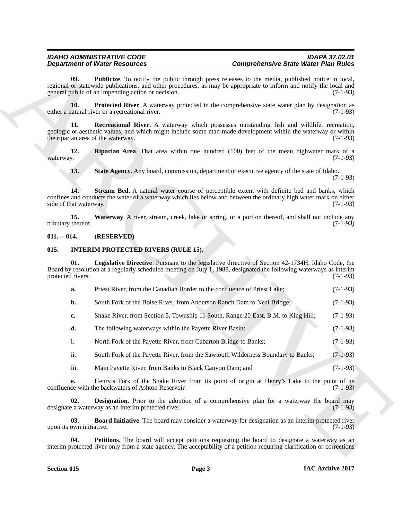## <span id="page-2-5"></span><span id="page-2-4"></span><span id="page-2-3"></span><span id="page-2-2"></span>*IDAHO ADMINISTRATIVE CODE IDAPA 37.02.01*

*Department of Water Resources Comprehensive State Water Plan Rules*

#### <span id="page-2-8"></span><span id="page-2-7"></span><span id="page-2-6"></span><span id="page-2-0"></span>**011. -- 014. (RESERVED)**

### <span id="page-2-13"></span><span id="page-2-12"></span><span id="page-2-11"></span><span id="page-2-10"></span><span id="page-2-9"></span><span id="page-2-1"></span>**015. INTERIM PROTECTED RIVERS (RULE 15).**

|                                 | <b>Department of Water Resources</b>                                                                                                                                                                                                                                                | <b>Comprehensive State Water Plan Rules</b> |                                                                    |  |
|---------------------------------|-------------------------------------------------------------------------------------------------------------------------------------------------------------------------------------------------------------------------------------------------------------------------------------|---------------------------------------------|--------------------------------------------------------------------|--|
| 09.                             | <b>Publicize</b> . To notify the public through press releases to the media, published notice in local,<br>regional or statewide publications, and other procedures, as may be appropriate to inform and notify the local and<br>general public of an impending action or decision. |                                             | $(7-1-93)$                                                         |  |
| 10.                             | <b>Protected River.</b> A waterway protected in the comprehensive state water plan by designation as<br>either a natural river or a recreational river.                                                                                                                             |                                             | $(7-1-93)$                                                         |  |
| 11.                             | Recreational River. A waterway which possesses outstanding fish and wildlife, recreation,<br>geologic or aesthetic values, and which might include some man-made development within the waterway or within<br>the riparian area of the waterway.                                    |                                             | $(7-1-93)$                                                         |  |
| 12.<br>waterway.                | <b>Riparian Area.</b> That area within one hundred (100) feet of the mean highwater mark of a                                                                                                                                                                                       |                                             | $(7-1-93)$                                                         |  |
| 13.                             | State Agency. Any board, commission, department or executive agency of the state of Idaho.                                                                                                                                                                                          |                                             | $(7-1-93)$                                                         |  |
| 14.<br>side of that waterway.   | Stream Bed. A natural water course of perceptible extent with definite bed and banks, which<br>confines and conducts the water of a waterway which lies below and between the ordinary high water mark on either                                                                    |                                             | $(7-1-93)$                                                         |  |
| 15.<br>tributary thereof.       | Waterway. A river, stream, creek, lake or spring, or a portion thereof, and shall not include any                                                                                                                                                                                   |                                             | $(7-1-93)$                                                         |  |
| $011. - 014.$                   | (RESERVED)                                                                                                                                                                                                                                                                          |                                             |                                                                    |  |
| 015.                            | <b>INTERIM PROTECTED RIVERS (RULE 15).</b>                                                                                                                                                                                                                                          |                                             |                                                                    |  |
| 01.<br>protected rivers:        | <b>Legislative Directive</b> . Pursuant to the legislative directive of Section 42-1734H, Idaho Code, the<br>Board by resolution at a regularly scheduled meeting on July 1, 1988, designated the following waterways as interim                                                    |                                             | $(7-1-93)$                                                         |  |
| a.                              | Priest River, from the Canadian Border to the confluence of Priest Lake;                                                                                                                                                                                                            |                                             | $(7-1-93)$                                                         |  |
|                                 |                                                                                                                                                                                                                                                                                     |                                             |                                                                    |  |
| b.                              | South Fork of the Boise River, from Anderson Ranch Dam to Neal Bridge;                                                                                                                                                                                                              |                                             |                                                                    |  |
| c.                              | Snake River, from Section 5, Township 11 South, Range 20 East, B.M. to King Hill;                                                                                                                                                                                                   |                                             |                                                                    |  |
| d.                              | The following waterways within the Payette River Basin:                                                                                                                                                                                                                             |                                             |                                                                    |  |
| i.                              | North Fork of the Payette River, from Cabarton Bridge to Banks;                                                                                                                                                                                                                     |                                             | $(7-1-93)$                                                         |  |
| ii.                             | South Fork of the Payette River, from the Sawtooth Wilderness Boundary to Banks;                                                                                                                                                                                                    |                                             | $(7-1-93)$                                                         |  |
| iii.                            | Main Payette River, from Banks to Black Canyon Dam; and                                                                                                                                                                                                                             |                                             | $(7-1-93)$<br>$(7-1-93)$                                           |  |
| e.                              | Henry's Fork of the Snake River from its point of origin at Henry's Lake to the point of its<br>confluence with the backwaters of Ashton Reservoir.                                                                                                                                 |                                             |                                                                    |  |
| 02.                             | <b>Designation</b> . Prior to the adoption of a comprehensive plan for a waterway the board may<br>designate a waterway as an interim protected river.                                                                                                                              |                                             |                                                                    |  |
| 03.<br>upon its own initiative. | Board Initiative. The board may consider a waterway for designation as an interim protected river                                                                                                                                                                                   |                                             | $(7-1-93)$<br>$(7-1-93)$<br>$(7-1-93)$<br>$(7-1-93)$<br>$(7-1-93)$ |  |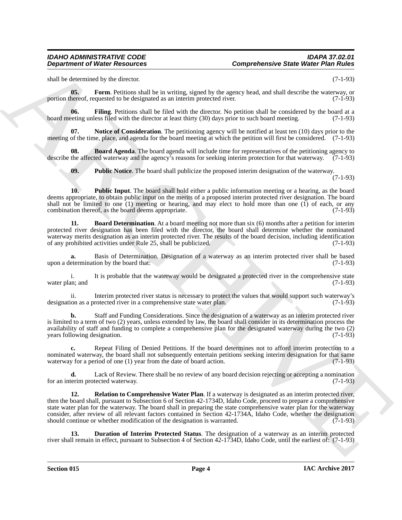<span id="page-3-4"></span>shall be determined by the director. (7-1-93)

**05.** Form. Petitions shall be in writing, signed by the agency head, and shall describe the waterway, or portion thereof, requested to be designated as an interim protected river. (7-1-93)

<span id="page-3-3"></span>**06. Filing**. Petitions shall be filed with the director. No petition shall be considered by the board at a beting unless filed with the director at least thirty (30) days prior to such board meeting. (7-1-93) board meeting unless filed with the director at least thirty (30) days prior to such board meeting.

<span id="page-3-5"></span>**07.** Notice of Consideration. The petitioning agency will be notified at least ten (10) days prior to the meeting of the time, place, and agenda for the board meeting at which the petition will first be considered. (7-1-93)

**08.** Board Agenda. The board agenda will include time for representatives of the petitioning agency to describe the affected waterway and the agency's reasons for seeking interim protection for that waterway. (7-1-93)

<span id="page-3-7"></span><span id="page-3-6"></span><span id="page-3-0"></span>**09.** Public Notice. The board shall publicize the proposed interim designation of the waterway.

(7-1-93)

**10. Public Input**. The board shall hold either a public information meeting or a hearing, as the board deems appropriate, to obtain public input on the merits of a proposed interim protected river designation. The board shall not be limited to one (1) meeting or hearing, and may elect to hold more than one (1) of each, or any combination thereof, as the board deems appropriate. (7-1-93) combination thereof, as the board deems appropriate.

<span id="page-3-1"></span>**11. Board Determination**. At a board meeting not more than six (6) months after a petition for interim protected river designation has been filed with the director, the board shall determine whether the nominated waterway merits designation as an interim protected river. The results of the board decision, including identification of any prohibited activities under Rule 25, shall be publicized. (7-1-93) of any prohibited activities under Rule 25, shall be publicized.

**a.** Basis of Determination. Designation of a waterway as an interim protected river shall be based etermination by the board that: (7-1-93) upon a determination by the board that:

i. It is probable that the waterway would be designated a protected river in the comprehensive state water plan; and  $(7-1-93)$ 

ii. Interim protected river status is necessary to protect the values that would support such waterway's ion as a protected river in a comprehensive state water plan. (7-1-93) designation as a protected river in a comprehensive state water plan.

**b.** Staff and Funding Considerations. Since the designation of a waterway as an interim protected river is limited to a term of two (2) years, unless extended by law, the board shall consider in its determination process the availability of staff and funding to complete a comprehensive plan for the designated waterway during the two (2) years following designation. (7-1-93) years following designation.

**c.** Repeat Filing of Denied Petitions. If the board determines not to afford interim protection to a nominated waterway, the board shall not subsequently entertain petitions seeking interim designation for that same waterway for a period of one (1) year from the date of board action. (7-1-93)

<span id="page-3-8"></span>**d.** Lack of Review. There shall be no review of any board decision rejecting or accepting a nomination term protected waterway. (7-1-93) for an interim protected waterway.

**Department of Weight Resources**<br>
and subsequent of Weight Resources<br>
and subsequent of Weight Resources<br>
and the subsequent of the subsequent of the subsequent of the subsequent of the subsequent of the subsequent<br>
and t **12. Relation to Comprehensive Water Plan**. If a waterway is designated as an interim protected river, then the board shall, pursuant to Subsection 6 of Section 42-1734D, Idaho Code, proceed to prepare a comprehensive state water plan for the waterway. The board shall in preparing the state comprehensive water plan for the waterway consider, after review of all relevant factors contained in Section 42-1734A, Idaho Code, whether the designation should continue or whether modification of the designation is warranted. (7-1-93)

<span id="page-3-2"></span>**13. Duration of Interim Protected Status**. The designation of a waterway as an interim protected river shall remain in effect, pursuant to Subsection 4 of Section 42-1734D, Idaho Code, until the earliest of: (7-1-93)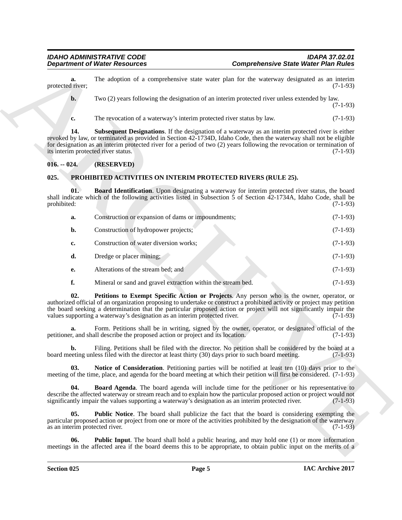#### <span id="page-4-9"></span><span id="page-4-8"></span><span id="page-4-7"></span><span id="page-4-6"></span><span id="page-4-5"></span><span id="page-4-4"></span><span id="page-4-3"></span><span id="page-4-2"></span><span id="page-4-1"></span><span id="page-4-0"></span>**025. PROHIBITED ACTIVITIES ON INTERIM PROTECTED RIVERS (RULE 25).**

| The adoption of a comprehensive state water plan for the waterway designated as an interim<br>a.<br>protected river;<br>Two (2) years following the designation of an interim protected river unless extended by law.<br>$\mathbf{b}$ .<br>The revocation of a waterway's interim protected river status by law.<br>c.<br><b>Subsequent Designations.</b> If the designation of a waterway as an interim protected river is either<br>14.<br>revoked by law, or terminated as provided in Section 42-1734D, Idaho Code, then the waterway shall not be eligible<br>for designation as an interim protected river for a period of two (2) years following the revocation or termination of<br>its interim protected river status.<br>$016. - 024.$<br>(RESERVED)<br>025.<br>PROHIBITED ACTIVITIES ON INTERIM PROTECTED RIVERS (RULE 25).<br>01.<br>Board Identification. Upon designating a waterway for interim protected river status, the board<br>shall indicate which of the following activities listed in Subsection 5 of Section $42-1734A$ , Idaho Code, shall be<br>prohibited:<br>Construction or expansion of dams or impoundments;<br>a.<br>Construction of hydropower projects;<br>b.<br>Construction of water diversion works;<br>c.<br>d.<br>Dredge or placer mining;<br>Alterations of the stream bed; and<br>е.<br>f.<br>Mineral or sand and gravel extraction within the stream bed.<br>02.<br>Petitions to Exempt Specific Action or Projects. Any person who is the owner, operator, or<br>authorized official of an organization proposing to undertake or construct a prohibited activity or project may petition<br>the board seeking a determination that the particular proposed action or project will not significantly impair the<br>values supporting a waterway's designation as an interim protected river.<br>Form. Petitions shall be in writing, signed by the owner, operator, or designated official of the<br>a.<br>petitioner, and shall describe the proposed action or project and its location.<br>Filing. Petitions shall be filed with the director. No petition shall be considered by the board at a<br>b.<br>board meeting unless filed with the director at least thirty (30) days prior to such board meeting.<br>03.<br>Notice of Consideration. Petitioning parties will be notified at least ten (10) days prior to the<br>meeting of the time, place, and agenda for the board meeting at which their petition will first be considered. (7-1-93)<br><b>Board Agenda</b> . The board agenda will include time for the petitioner or his representative to<br>04.<br>describe the affected waterway or stream reach and to explain how the particular proposed action or project would not<br>significantly impair the values supporting a waterway's designation as an interim protected river.<br>05.<br><b>Public Notice.</b> The board shall publicize the fact that the board is considering exempting the<br>particular proposed action or project from one or more of the activities prohibited by the designation of the waterway<br>as an interim protected river.<br>06.<br><b>Public Input</b> . The board shall hold a public hearing, and may hold one (1) or more information<br>meetings in the affected area if the board deems this to be appropriate, to obtain public input on the merits of a | <b>Department of Water Resources</b> |  | <b>Comprehensive State Water Plan Rules</b> |            |  |
|----------------------------------------------------------------------------------------------------------------------------------------------------------------------------------------------------------------------------------------------------------------------------------------------------------------------------------------------------------------------------------------------------------------------------------------------------------------------------------------------------------------------------------------------------------------------------------------------------------------------------------------------------------------------------------------------------------------------------------------------------------------------------------------------------------------------------------------------------------------------------------------------------------------------------------------------------------------------------------------------------------------------------------------------------------------------------------------------------------------------------------------------------------------------------------------------------------------------------------------------------------------------------------------------------------------------------------------------------------------------------------------------------------------------------------------------------------------------------------------------------------------------------------------------------------------------------------------------------------------------------------------------------------------------------------------------------------------------------------------------------------------------------------------------------------------------------------------------------------------------------------------------------------------------------------------------------------------------------------------------------------------------------------------------------------------------------------------------------------------------------------------------------------------------------------------------------------------------------------------------------------------------------------------------------------------------------------------------------------------------------------------------------------------------------------------------------------------------------------------------------------------------------------------------------------------------------------------------------------------------------------------------------------------------------------------------------------------------------------------------------------------------------------------------------------------------------------------------------------------------------------------------------------------------------------------------------------------------------------------------------------------------------------------------------------------------------------------------------------------------------------------------------------------------------------------------------------------------------------------------------------------------------------------------------------------------------------------------------------------------|--------------------------------------|--|---------------------------------------------|------------|--|
|                                                                                                                                                                                                                                                                                                                                                                                                                                                                                                                                                                                                                                                                                                                                                                                                                                                                                                                                                                                                                                                                                                                                                                                                                                                                                                                                                                                                                                                                                                                                                                                                                                                                                                                                                                                                                                                                                                                                                                                                                                                                                                                                                                                                                                                                                                                                                                                                                                                                                                                                                                                                                                                                                                                                                                                                                                                                                                                                                                                                                                                                                                                                                                                                                                                                                                                                                                      |                                      |  |                                             | $(7-1-93)$ |  |
|                                                                                                                                                                                                                                                                                                                                                                                                                                                                                                                                                                                                                                                                                                                                                                                                                                                                                                                                                                                                                                                                                                                                                                                                                                                                                                                                                                                                                                                                                                                                                                                                                                                                                                                                                                                                                                                                                                                                                                                                                                                                                                                                                                                                                                                                                                                                                                                                                                                                                                                                                                                                                                                                                                                                                                                                                                                                                                                                                                                                                                                                                                                                                                                                                                                                                                                                                                      |                                      |  |                                             | $(7-1-93)$ |  |
|                                                                                                                                                                                                                                                                                                                                                                                                                                                                                                                                                                                                                                                                                                                                                                                                                                                                                                                                                                                                                                                                                                                                                                                                                                                                                                                                                                                                                                                                                                                                                                                                                                                                                                                                                                                                                                                                                                                                                                                                                                                                                                                                                                                                                                                                                                                                                                                                                                                                                                                                                                                                                                                                                                                                                                                                                                                                                                                                                                                                                                                                                                                                                                                                                                                                                                                                                                      |                                      |  |                                             | $(7-1-93)$ |  |
|                                                                                                                                                                                                                                                                                                                                                                                                                                                                                                                                                                                                                                                                                                                                                                                                                                                                                                                                                                                                                                                                                                                                                                                                                                                                                                                                                                                                                                                                                                                                                                                                                                                                                                                                                                                                                                                                                                                                                                                                                                                                                                                                                                                                                                                                                                                                                                                                                                                                                                                                                                                                                                                                                                                                                                                                                                                                                                                                                                                                                                                                                                                                                                                                                                                                                                                                                                      |                                      |  |                                             | $(7-1-93)$ |  |
|                                                                                                                                                                                                                                                                                                                                                                                                                                                                                                                                                                                                                                                                                                                                                                                                                                                                                                                                                                                                                                                                                                                                                                                                                                                                                                                                                                                                                                                                                                                                                                                                                                                                                                                                                                                                                                                                                                                                                                                                                                                                                                                                                                                                                                                                                                                                                                                                                                                                                                                                                                                                                                                                                                                                                                                                                                                                                                                                                                                                                                                                                                                                                                                                                                                                                                                                                                      |                                      |  |                                             |            |  |
|                                                                                                                                                                                                                                                                                                                                                                                                                                                                                                                                                                                                                                                                                                                                                                                                                                                                                                                                                                                                                                                                                                                                                                                                                                                                                                                                                                                                                                                                                                                                                                                                                                                                                                                                                                                                                                                                                                                                                                                                                                                                                                                                                                                                                                                                                                                                                                                                                                                                                                                                                                                                                                                                                                                                                                                                                                                                                                                                                                                                                                                                                                                                                                                                                                                                                                                                                                      |                                      |  |                                             |            |  |
|                                                                                                                                                                                                                                                                                                                                                                                                                                                                                                                                                                                                                                                                                                                                                                                                                                                                                                                                                                                                                                                                                                                                                                                                                                                                                                                                                                                                                                                                                                                                                                                                                                                                                                                                                                                                                                                                                                                                                                                                                                                                                                                                                                                                                                                                                                                                                                                                                                                                                                                                                                                                                                                                                                                                                                                                                                                                                                                                                                                                                                                                                                                                                                                                                                                                                                                                                                      |                                      |  |                                             | $(7-1-93)$ |  |
|                                                                                                                                                                                                                                                                                                                                                                                                                                                                                                                                                                                                                                                                                                                                                                                                                                                                                                                                                                                                                                                                                                                                                                                                                                                                                                                                                                                                                                                                                                                                                                                                                                                                                                                                                                                                                                                                                                                                                                                                                                                                                                                                                                                                                                                                                                                                                                                                                                                                                                                                                                                                                                                                                                                                                                                                                                                                                                                                                                                                                                                                                                                                                                                                                                                                                                                                                                      |                                      |  |                                             | $(7-1-93)$ |  |
|                                                                                                                                                                                                                                                                                                                                                                                                                                                                                                                                                                                                                                                                                                                                                                                                                                                                                                                                                                                                                                                                                                                                                                                                                                                                                                                                                                                                                                                                                                                                                                                                                                                                                                                                                                                                                                                                                                                                                                                                                                                                                                                                                                                                                                                                                                                                                                                                                                                                                                                                                                                                                                                                                                                                                                                                                                                                                                                                                                                                                                                                                                                                                                                                                                                                                                                                                                      |                                      |  |                                             | $(7-1-93)$ |  |
|                                                                                                                                                                                                                                                                                                                                                                                                                                                                                                                                                                                                                                                                                                                                                                                                                                                                                                                                                                                                                                                                                                                                                                                                                                                                                                                                                                                                                                                                                                                                                                                                                                                                                                                                                                                                                                                                                                                                                                                                                                                                                                                                                                                                                                                                                                                                                                                                                                                                                                                                                                                                                                                                                                                                                                                                                                                                                                                                                                                                                                                                                                                                                                                                                                                                                                                                                                      |                                      |  |                                             | $(7-1-93)$ |  |
|                                                                                                                                                                                                                                                                                                                                                                                                                                                                                                                                                                                                                                                                                                                                                                                                                                                                                                                                                                                                                                                                                                                                                                                                                                                                                                                                                                                                                                                                                                                                                                                                                                                                                                                                                                                                                                                                                                                                                                                                                                                                                                                                                                                                                                                                                                                                                                                                                                                                                                                                                                                                                                                                                                                                                                                                                                                                                                                                                                                                                                                                                                                                                                                                                                                                                                                                                                      |                                      |  |                                             | $(7-1-93)$ |  |
|                                                                                                                                                                                                                                                                                                                                                                                                                                                                                                                                                                                                                                                                                                                                                                                                                                                                                                                                                                                                                                                                                                                                                                                                                                                                                                                                                                                                                                                                                                                                                                                                                                                                                                                                                                                                                                                                                                                                                                                                                                                                                                                                                                                                                                                                                                                                                                                                                                                                                                                                                                                                                                                                                                                                                                                                                                                                                                                                                                                                                                                                                                                                                                                                                                                                                                                                                                      |                                      |  |                                             | $(7-1-93)$ |  |
|                                                                                                                                                                                                                                                                                                                                                                                                                                                                                                                                                                                                                                                                                                                                                                                                                                                                                                                                                                                                                                                                                                                                                                                                                                                                                                                                                                                                                                                                                                                                                                                                                                                                                                                                                                                                                                                                                                                                                                                                                                                                                                                                                                                                                                                                                                                                                                                                                                                                                                                                                                                                                                                                                                                                                                                                                                                                                                                                                                                                                                                                                                                                                                                                                                                                                                                                                                      |                                      |  |                                             | $(7-1-93)$ |  |
|                                                                                                                                                                                                                                                                                                                                                                                                                                                                                                                                                                                                                                                                                                                                                                                                                                                                                                                                                                                                                                                                                                                                                                                                                                                                                                                                                                                                                                                                                                                                                                                                                                                                                                                                                                                                                                                                                                                                                                                                                                                                                                                                                                                                                                                                                                                                                                                                                                                                                                                                                                                                                                                                                                                                                                                                                                                                                                                                                                                                                                                                                                                                                                                                                                                                                                                                                                      |                                      |  |                                             | $(7-1-93)$ |  |
|                                                                                                                                                                                                                                                                                                                                                                                                                                                                                                                                                                                                                                                                                                                                                                                                                                                                                                                                                                                                                                                                                                                                                                                                                                                                                                                                                                                                                                                                                                                                                                                                                                                                                                                                                                                                                                                                                                                                                                                                                                                                                                                                                                                                                                                                                                                                                                                                                                                                                                                                                                                                                                                                                                                                                                                                                                                                                                                                                                                                                                                                                                                                                                                                                                                                                                                                                                      |                                      |  |                                             | $(7-1-93)$ |  |
|                                                                                                                                                                                                                                                                                                                                                                                                                                                                                                                                                                                                                                                                                                                                                                                                                                                                                                                                                                                                                                                                                                                                                                                                                                                                                                                                                                                                                                                                                                                                                                                                                                                                                                                                                                                                                                                                                                                                                                                                                                                                                                                                                                                                                                                                                                                                                                                                                                                                                                                                                                                                                                                                                                                                                                                                                                                                                                                                                                                                                                                                                                                                                                                                                                                                                                                                                                      |                                      |  |                                             | $(7-1-93)$ |  |
|                                                                                                                                                                                                                                                                                                                                                                                                                                                                                                                                                                                                                                                                                                                                                                                                                                                                                                                                                                                                                                                                                                                                                                                                                                                                                                                                                                                                                                                                                                                                                                                                                                                                                                                                                                                                                                                                                                                                                                                                                                                                                                                                                                                                                                                                                                                                                                                                                                                                                                                                                                                                                                                                                                                                                                                                                                                                                                                                                                                                                                                                                                                                                                                                                                                                                                                                                                      |                                      |  |                                             |            |  |
|                                                                                                                                                                                                                                                                                                                                                                                                                                                                                                                                                                                                                                                                                                                                                                                                                                                                                                                                                                                                                                                                                                                                                                                                                                                                                                                                                                                                                                                                                                                                                                                                                                                                                                                                                                                                                                                                                                                                                                                                                                                                                                                                                                                                                                                                                                                                                                                                                                                                                                                                                                                                                                                                                                                                                                                                                                                                                                                                                                                                                                                                                                                                                                                                                                                                                                                                                                      |                                      |  |                                             | $(7-1-93)$ |  |
|                                                                                                                                                                                                                                                                                                                                                                                                                                                                                                                                                                                                                                                                                                                                                                                                                                                                                                                                                                                                                                                                                                                                                                                                                                                                                                                                                                                                                                                                                                                                                                                                                                                                                                                                                                                                                                                                                                                                                                                                                                                                                                                                                                                                                                                                                                                                                                                                                                                                                                                                                                                                                                                                                                                                                                                                                                                                                                                                                                                                                                                                                                                                                                                                                                                                                                                                                                      |                                      |  |                                             | $(7-1-93)$ |  |
|                                                                                                                                                                                                                                                                                                                                                                                                                                                                                                                                                                                                                                                                                                                                                                                                                                                                                                                                                                                                                                                                                                                                                                                                                                                                                                                                                                                                                                                                                                                                                                                                                                                                                                                                                                                                                                                                                                                                                                                                                                                                                                                                                                                                                                                                                                                                                                                                                                                                                                                                                                                                                                                                                                                                                                                                                                                                                                                                                                                                                                                                                                                                                                                                                                                                                                                                                                      |                                      |  |                                             |            |  |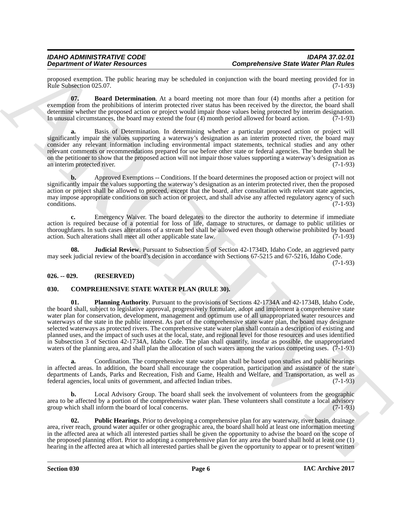proposed exemption. The public hearing may be scheduled in conjunction with the board meeting provided for in Rule Subsection 025.07. (7-1-93)

<span id="page-5-5"></span>**07. Board Determination**. At a board meeting not more than four (4) months after a petition for exemption from the prohibitions of interim protected river status has been received by the director, the board shall determine whether the proposed action or project would impair those values being protected by interim designation.<br>In unusual circumstances, the board may extend the four (4) month period allowed for board action. (7-1-93) In unusual circumstances, the board may extend the four  $(4)$  month period allowed for board action.

**a.** Basis of Determination. In determining whether a particular proposed action or project will significantly impair the values supporting a waterway's designation as an interim protected river, the board may consider any relevant information including environmental impact statements, technical studies and any other relevant comments or recommendations prepared for use before other state or federal agencies. The burden shall be on the petitioner to show that the proposed action will not impair those values supporting a waterway's designation as an interim protected river. (7-1-93)

**b.** Approved Exemptions -- Conditions. If the board determines the proposed action or project will not significantly impair the values supporting the waterway's designation as an interim protected river, then the proposed action or project shall be allowed to proceed, except that the board, after consultation with relevant state agencies, may impose appropriate conditions on such action or project, and shall advise any affected regulatory agency of such conditions. (7-1-93)

**c.** Emergency Waiver. The board delegates to the director the authority to determine if immediate action is required because of a potential for loss of life, damage to structures, or damage to public utilities or thoroughfares. In such cases alterations of a stream bed shall be allowed even though otherwise prohibited by board action. Such alterations shall meet all other applicable state law. (7-1-93)

<span id="page-5-6"></span>**Judicial Review**. Pursuant to Subsection 5 of Section 42-1734D, Idaho Code, an aggrieved party may seek judicial review of the board's decision in accordance with Sections 67-5215 and 67-5216, Idaho Code.

(7-1-93)

### <span id="page-5-0"></span>**026. -- 029. (RESERVED)**

### <span id="page-5-3"></span><span id="page-5-2"></span><span id="page-5-1"></span>**030. COMPREHENSIVE STATE WATER PLAN (RULE 30).**

**Dependential Water Franchises**<br> **Experimental Water Resolution**<br> **Experimental Water Resolution**<br> **Experimental Water Resolution**<br> **Experimental Water Resolution**<br> **Experimental Water Resolution**<br> **Experimental Water Res 01. Planning Authority**. Pursuant to the provisions of Sections 42-1734A and 42-1734B, Idaho Code, the board shall, subject to legislative approval, progressively formulate, adopt and implement a comprehensive state water plan for conservation, development, management and optimum use of all unappropriated water resources and waterways of the state in the public interest. As part of the comprehensive state water plan, the board may designate selected waterways as protected rivers. The comprehensive state water plan shall contain a description of existing and planned uses, and the impact of such uses at the local, state, and regional level for those resources and uses identified in Subsection 3 of Section 42-1734A, Idaho Code. The plan shall quantify, insofar as possible, the unappropriated waters of the planning area, and shall plan the allocation of such waters among the various competing uses. (7-1-93)

**a.** Coordination. The comprehensive state water plan shall be based upon studies and public hearings in affected areas. In addition, the board shall encourage the cooperation, participation and assistance of the state departments of Lands, Parks and Recreation, Fish and Game, Health and Welfare, and Transportation, as well as federal agencies, local units of government, and affected Indian tribes. (7-1-93)

**b.** Local Advisory Group. The board shall seek the involvement of volunteers from the geographic area to be affected by a portion of the comprehensive water plan. These volunteers shall constitute a local advisory group which shall inform the board of local concerns. (7-1-93) group which shall inform the board of local concerns.

<span id="page-5-4"></span>**02. Public Hearings**. Prior to developing a comprehensive plan for any waterway, river basin, drainage area, river reach, ground water aquifer or other geographic area, the board shall hold at least one information meeting in the affected area at which all interested parties shall be given the opportunity to advise the board on the scope of the proposed planning effort. Prior to adopting a comprehensive plan for any area the board shall hold at least one (1) hearing in the affected area at which all interested parties shall be given the opportunity to appear or to present written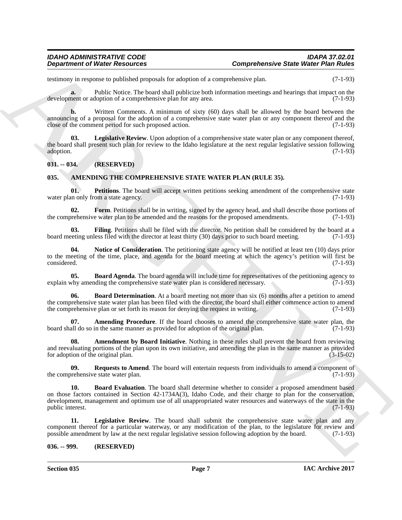testimony in response to published proposals for adoption of a comprehensive plan. (7-1-93)

**a.** Public Notice. The board shall publicize both information meetings and hearings that impact on the development or adoption of a comprehensive plan for any area. (7-1-93)

**b.** Written Comments. A minimum of sixty (60) days shall be allowed by the board between the announcing of a proposal for the adoption of a comprehensive state water plan or any component thereof and the close of the comment period for such proposed action. (7-1-93)

<span id="page-6-15"></span>**Legislative Review**. Upon adoption of a comprehensive state water plan or any component thereof, the board shall present such plan for review to the Idaho legislature at the next regular legislative session following adoption. (7-1-93) adoption. (7-1-93)

<span id="page-6-0"></span>**031. -- 034. (RESERVED)**

#### <span id="page-6-3"></span><span id="page-6-1"></span>**035. AMENDING THE COMPREHENSIVE STATE WATER PLAN (RULE 35).**

<span id="page-6-13"></span>**01. Petitions**. The board will accept written petitions seeking amendment of the comprehensive state water plan only from a state agency. (7-1-93)

<span id="page-6-10"></span>**02. Form**. Petitions shall be in writing, signed by the agency head, and shall describe those portions of prehensive water plan to be amended and the reasons for the proposed amendments. (7-1-93) the comprehensive water plan to be amended and the reasons for the proposed amendments.

<span id="page-6-9"></span>**03. Filing**. Petitions shall be filed with the director. No petition shall be considered by the board at a board meeting unless filed with the director at least thirty (30) days prior to such board meeting. (7-1-93)

<span id="page-6-12"></span>**04.** Notice of Consideration. The petitioning state agency will be notified at least ten (10) days prior to the meeting of the time, place, and agenda for the board meeting at which the agency's petition will first be considered. (7-1-93) considered. (7-1-93)

<span id="page-6-6"></span>**05. Board Agenda**. The board agenda will include time for representatives of the petitioning agency to why amending the comprehensive state water plan is considered necessary. (7-1-93) explain why amending the comprehensive state water plan is considered necessary.

<span id="page-6-7"></span>**06. Board Determination**. At a board meeting not more than six (6) months after a petition to amend the comprehensive state water plan has been filed with the director, the board shall either commence action to amend<br>the comprehensive plan or set forth its reason for denying the request in writing. (7-1-93) the comprehensive plan or set forth its reason for denying the request in writing.

<span id="page-6-4"></span>**07. Amending Procedure**. If the board chooses to amend the comprehensive state water plan, the board shall do so in the same manner as provided for adoption of the original plan. (7-1-93)

<span id="page-6-5"></span>**Amendment by Board Initiative**. Nothing in these rules shall prevent the board from reviewing and reevaluating portions of the plan upon its own initiative, and amending the plan in the same manner as provided for adoption of the original plan. (3-15-02)

<span id="page-6-14"></span><span id="page-6-8"></span>**09.** Requests to Amend. The board will entertain requests from individuals to amend a component of orehensive state water plan. (7-1-93) the comprehensive state water plan.

**Department of Weiler Research et al., as a statistical construction in the Weiler Plain Rules construction in the statistical construction in the statistical construction in the statistical construction in the statistica 10. Board Evaluation**. The board shall determine whether to consider a proposed amendment based on those factors contained in Section 42-1734A(3), Idaho Code, and their charge to plan for the conservation, development, management and optimum use of all unappropriated water resources and waterways of the state in the public interest. (7-1-93) public interest.

<span id="page-6-11"></span>**11. Legislative Review**. The board shall submit the comprehensive state water plan and any component thereof for a particular waterway, or any modification of the plan, to the legislature for review and possible amendment by law at the next regular legislative session following adoption by the board. (7-1-93) possible amendment by law at the next regular legislative session following adoption by the board.

#### <span id="page-6-2"></span>**036. -- 999. (RESERVED)**